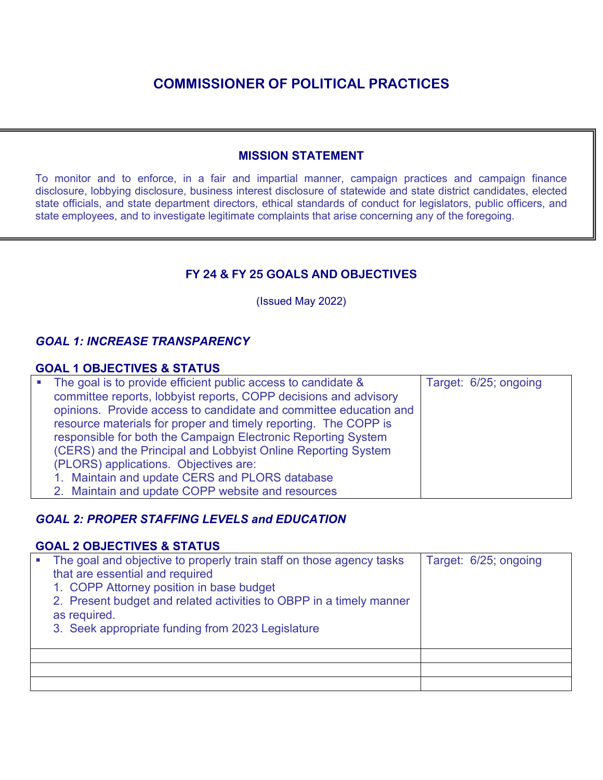#### **MISSION STATEMENT**

To monitor and to enforce, in a fair and impartial manner, campaign practices and campaign finance disclosure, lobbying disclosure, business interest disclosure of statewide and state district candidates, elected state officials, and state department directors, ethical standards of conduct for legislators, public officers, and state employees, and to investigate legitimate complaints that arise concerning any of the foregoing.

## **FY 24 & FY 25 GOALS AND OBJECTIVES**

(Issued May 2022)

## *GOAL 1: INCREASE TRANSPARENCY*

#### **GOAL 1 OBJECTIVES & STATUS**

| • The goal is to provide efficient public access to candidate &   | Target: 6/25; ongoing |
|-------------------------------------------------------------------|-----------------------|
| committee reports, lobbyist reports, COPP decisions and advisory  |                       |
| opinions. Provide access to candidate and committee education and |                       |
| resource materials for proper and timely reporting. The COPP is   |                       |
| responsible for both the Campaign Electronic Reporting System     |                       |
| (CERS) and the Principal and Lobbyist Online Reporting System     |                       |
| (PLORS) applications. Objectives are:                             |                       |
| 1. Maintain and update CERS and PLORS database                    |                       |
| 2. Maintain and update COPP website and resources                 |                       |

## *GOAL 2: PROPER STAFFING LEVELS and EDUCATION*

#### **GOAL 2 OBJECTIVES & STATUS**

| The goal and objective to properly train staff on those agency tasks<br>that are essential and required<br>1. COPP Attorney position in base budget<br>2. Present budget and related activities to OBPP in a timely manner<br>as required.<br>3. Seek appropriate funding from 2023 Legislature | Target: 6/25; ongoing |
|-------------------------------------------------------------------------------------------------------------------------------------------------------------------------------------------------------------------------------------------------------------------------------------------------|-----------------------|
|                                                                                                                                                                                                                                                                                                 |                       |
|                                                                                                                                                                                                                                                                                                 |                       |
|                                                                                                                                                                                                                                                                                                 |                       |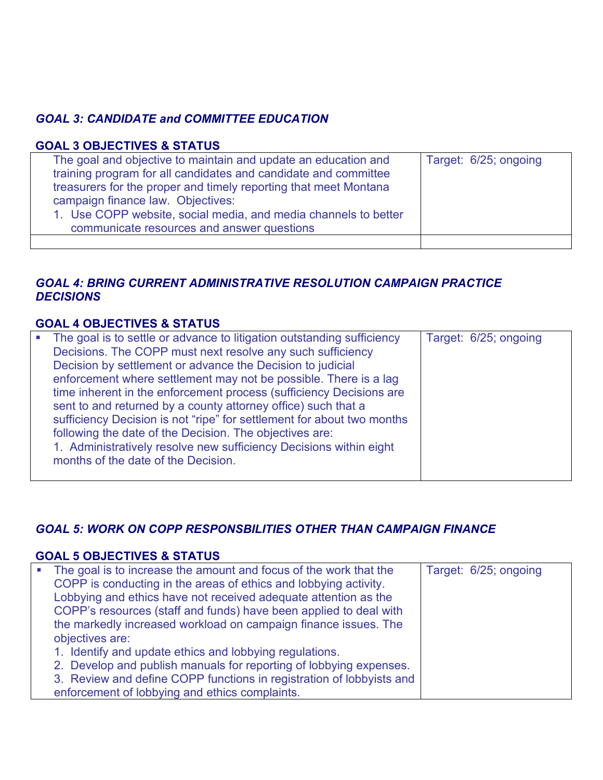## *GOAL 3: CANDIDATE and COMMITTEE EDUCATION*

#### **GOAL 3 OBJECTIVES & STATUS**

| The goal and objective to maintain and update an education and<br>training program for all candidates and candidate and committee<br>treasurers for the proper and timely reporting that meet Montana<br>campaign finance law. Objectives:<br>1. Use COPP website, social media, and media channels to better<br>communicate resources and answer questions | Target: 6/25; ongoing |
|-------------------------------------------------------------------------------------------------------------------------------------------------------------------------------------------------------------------------------------------------------------------------------------------------------------------------------------------------------------|-----------------------|
|                                                                                                                                                                                                                                                                                                                                                             |                       |

## *GOAL 4: BRING CURRENT ADMINISTRATIVE RESOLUTION CAMPAIGN PRACTICE DECISIONS*

## **GOAL 4 OBJECTIVES & STATUS**

| • The goal is to settle or advance to litigation outstanding sufficiency | Target: 6/25; ongoing |
|--------------------------------------------------------------------------|-----------------------|
| Decisions. The COPP must next resolve any such sufficiency               |                       |
| Decision by settlement or advance the Decision to judicial               |                       |
| enforcement where settlement may not be possible. There is a lag         |                       |
| time inherent in the enforcement process (sufficiency Decisions are      |                       |
| sent to and returned by a county attorney office) such that a            |                       |
| sufficiency Decision is not "ripe" for settlement for about two months   |                       |
| following the date of the Decision. The objectives are:                  |                       |
| 1. Administratively resolve new sufficiency Decisions within eight       |                       |
| months of the date of the Decision.                                      |                       |
|                                                                          |                       |

#### *GOAL 5: WORK ON COPP RESPONSBILITIES OTHER THAN CAMPAIGN FINANCE*

#### **GOAL 5 OBJECTIVES & STATUS**

| <b>In</b> | The goal is to increase the amount and focus of the work that the    | Target: 6/25; ongoing |
|-----------|----------------------------------------------------------------------|-----------------------|
|           | COPP is conducting in the areas of ethics and lobbying activity.     |                       |
|           | Lobbying and ethics have not received adequate attention as the      |                       |
|           | COPP's resources (staff and funds) have been applied to deal with    |                       |
|           | the markedly increased workload on campaign finance issues. The      |                       |
|           | objectives are:                                                      |                       |
|           | 1. Identify and update ethics and lobbying regulations.              |                       |
|           | 2. Develop and publish manuals for reporting of lobbying expenses.   |                       |
|           | 3. Review and define COPP functions in registration of lobbyists and |                       |
|           | enforcement of lobbying and ethics complaints.                       |                       |